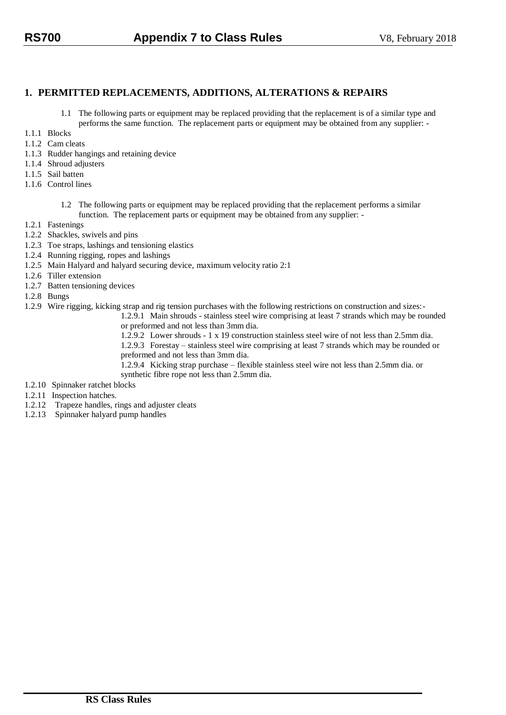# **1. PERMITTED REPLACEMENTS, ADDITIONS, ALTERATIONS & REPAIRS**

- 1.1 The following parts or equipment may be replaced providing that the replacement is of a similar type and performs the same function. The replacement parts or equipment may be obtained from any supplier: -
- 1.1.1 Blocks
- 1.1.2 Cam cleats
- 1.1.3 Rudder hangings and retaining device
- 1.1.4 Shroud adjusters
- 1.1.5 Sail batten
- 1.1.6 Control lines
	- 1.2 The following parts or equipment may be replaced providing that the replacement performs a similar function. The replacement parts or equipment may be obtained from any supplier: -
- 1.2.1 Fastenings
- 1.2.2 Shackles, swivels and pins
- 1.2.3 Toe straps, lashings and tensioning elastics
- 1.2.4 Running rigging, ropes and lashings
- 1.2.5 Main Halyard and halyard securing device, maximum velocity ratio 2:1
- 1.2.6 Tiller extension
- 1.2.7 Batten tensioning devices
- 1.2.8 Bungs
- 1.2.9 Wire rigging, kicking strap and rig tension purchases with the following restrictions on construction and sizes:-

1.2.9.1 Main shrouds - stainless steel wire comprising at least 7 strands which may be rounded or preformed and not less than 3mm dia.

1.2.9.2 Lower shrouds - 1 x 19 construction stainless steel wire of not less than 2.5mm dia. 1.2.9.3 Forestay – stainless steel wire comprising at least 7 strands which may be rounded or preformed and not less than 3mm dia.

1.2.9.4 Kicking strap purchase – flexible stainless steel wire not less than 2.5mm dia. or synthetic fibre rope not less than 2.5mm dia.

- 1.2.10 Spinnaker ratchet blocks
- 1.2.11 Inspection hatches.
- 1.2.12 Trapeze handles, rings and adjuster cleats
- 1.2.13 Spinnaker halyard pump handles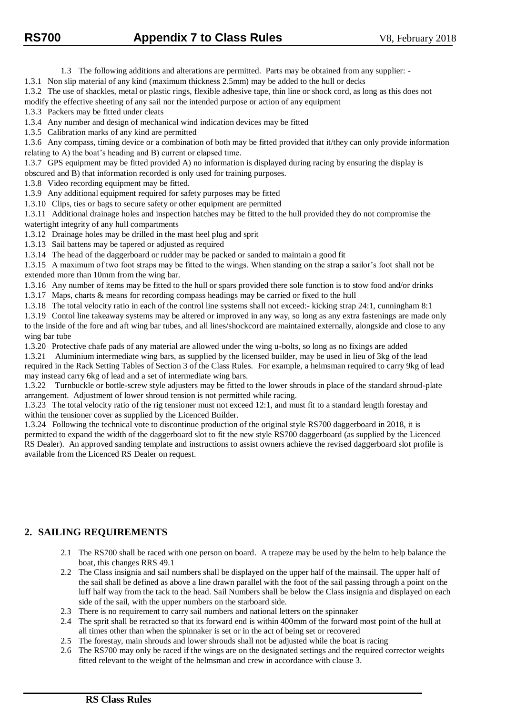1.3 The following additions and alterations are permitted. Parts may be obtained from any supplier: -

1.3.1 Non slip material of any kind (maximum thickness 2.5mm) may be added to the hull or decks

1.3.2 The use of shackles, metal or plastic rings, flexible adhesive tape, thin line or shock cord, as long as this does not

modify the effective sheeting of any sail nor the intended purpose or action of any equipment

1.3.3 Packers may be fitted under cleats

1.3.4 Any number and design of mechanical wind indication devices may be fitted

1.3.5 Calibration marks of any kind are permitted

1.3.6 Any compass, timing device or a combination of both may be fitted provided that it/they can only provide information relating to A) the boat's heading and B) current or elapsed time.

1.3.7 GPS equipment may be fitted provided A) no information is displayed during racing by ensuring the display is obscured and B) that information recorded is only used for training purposes.

1.3.8 Video recording equipment may be fitted.

1.3.9 Any additional equipment required for safety purposes may be fitted

1.3.10 Clips, ties or bags to secure safety or other equipment are permitted

1.3.11 Additional drainage holes and inspection hatches may be fitted to the hull provided they do not compromise the watertight integrity of any hull compartments

1.3.12 Drainage holes may be drilled in the mast heel plug and sprit

1.3.13 Sail battens may be tapered or adjusted as required

1.3.14 The head of the daggerboard or rudder may be packed or sanded to maintain a good fit

1.3.15 A maximum of two foot straps may be fitted to the wings. When standing on the strap a sailor's foot shall not be extended more than 10mm from the wing bar.

1.3.16 Any number of items may be fitted to the hull or spars provided there sole function is to stow food and/or drinks

1.3.17 Maps, charts & means for recording compass headings may be carried or fixed to the hull

1.3.18 The total velocity ratio in each of the control line systems shall not exceed:- kicking strap 24:1, cunningham 8:1

1.3.19 Contol line takeaway systems may be altered or improved in any way, so long as any extra fastenings are made only to the inside of the fore and aft wing bar tubes, and all lines/shockcord are maintained externally, alongside and close to any wing bar tube

1.3.20 Protective chafe pads of any material are allowed under the wing u-bolts, so long as no fixings are added

1.3.21 Aluminium intermediate wing bars, as supplied by the licensed builder, may be used in lieu of 3kg of the lead required in the Rack Setting Tables of Section 3 of the Class Rules. For example, a helmsman required to carry 9kg of lead may instead carry 6kg of lead and a set of intermediate wing bars.

1.3.22 Turnbuckle or bottle-screw style adjusters may be fitted to the lower shrouds in place of the standard shroud-plate arrangement. Adjustment of lower shroud tension is not permitted while racing.

1.3.23 The total velocity ratio of the rig tensioner must not exceed 12:1, and must fit to a standard length forestay and within the tensioner cover as supplied by the Licenced Builder.

1.3.24 Following the technical vote to discontinue production of the original style RS700 daggerboard in 2018, it is permitted to expand the width of the daggerboard slot to fit the new style RS700 daggerboard (as supplied by the Licenced RS Dealer). An approved sanding template and instructions to assist owners achieve the revised daggerboard slot profile is available from the Licenced RS Dealer on request.

# **2. SAILING REQUIREMENTS**

- 2.1 The RS700 shall be raced with one person on board. A trapeze may be used by the helm to help balance the boat, this changes RRS 49.1
- 2.2 The Class insignia and sail numbers shall be displayed on the upper half of the mainsail. The upper half of the sail shall be defined as above a line drawn parallel with the foot of the sail passing through a point on the luff half way from the tack to the head. Sail Numbers shall be below the Class insignia and displayed on each side of the sail, with the upper numbers on the starboard side.
- 2.3 There is no requirement to carry sail numbers and national letters on the spinnaker
- 2.4 The sprit shall be retracted so that its forward end is within 400mm of the forward most point of the hull at all times other than when the spinnaker is set or in the act of being set or recovered
- 2.5 The forestay, main shrouds and lower shrouds shall not be adjusted while the boat is racing
- 2.6 The RS700 may only be raced if the wings are on the designated settings and the required corrector weights fitted relevant to the weight of the helmsman and crew in accordance with clause 3.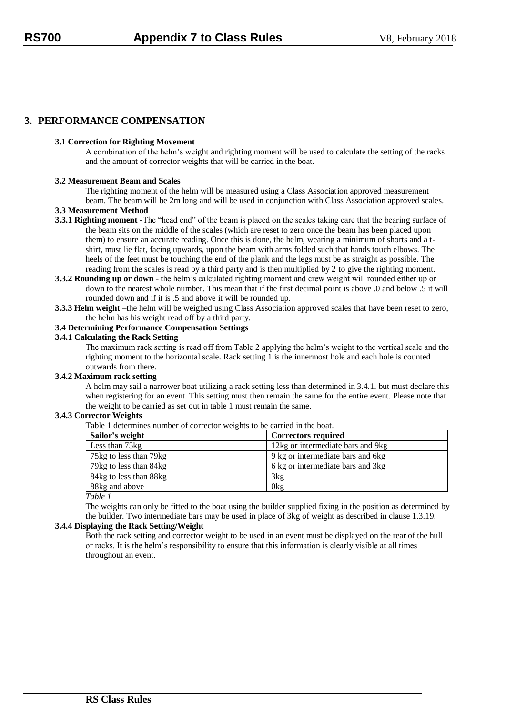# **3. PERFORMANCE COMPENSATION**

## **3.1 Correction for Righting Movement**

A combination of the helm's weight and righting moment will be used to calculate the setting of the racks and the amount of corrector weights that will be carried in the boat.

# **3.2 Measurement Beam and Scales**

The righting moment of the helm will be measured using a Class Association approved measurement beam. The beam will be 2m long and will be used in conjunction with Class Association approved scales.

## **3.3 Measurement Method**

- **3.3.1 Righting moment** -The "head end" of the beam is placed on the scales taking care that the bearing surface of the beam sits on the middle of the scales (which are reset to zero once the beam has been placed upon them) to ensure an accurate reading. Once this is done, the helm, wearing a minimum of shorts and a tshirt, must lie flat, facing upwards, upon the beam with arms folded such that hands touch elbows. The heels of the feet must be touching the end of the plank and the legs must be as straight as possible. The reading from the scales is read by a third party and is then multiplied by 2 to give the righting moment.
- **3.3.2 Rounding up or down** the helm's calculated righting moment and crew weight will rounded either up or down to the nearest whole number. This mean that if the first decimal point is above .0 and below .5 it will rounded down and if it is .5 and above it will be rounded up.
- **3.3.3 Helm weight** –the helm will be weighed using Class Association approved scales that have been reset to zero, the helm has his weight read off by a third party.

#### **3.4 Determining Performance Compensation Settings**

#### **3.4.1 Calculating the Rack Setting**

The maximum rack setting is read off from Table 2 applying the helm's weight to the vertical scale and the righting moment to the horizontal scale. Rack setting 1 is the innermost hole and each hole is counted outwards from there.

# **3.4.2 Maximum rack setting**

A helm may sail a narrower boat utilizing a rack setting less than determined in 3.4.1. but must declare this when registering for an event. This setting must then remain the same for the entire event. Please note that the weight to be carried as set out in table 1 must remain the same.

## **3.4.3 Corrector Weights**

| Sailor's weight        | <b>Correctors required</b>         |
|------------------------|------------------------------------|
| Less than 75kg         | 12kg or intermediate bars and 9kg  |
| 75kg to less than 79kg | 9 kg or intermediate bars and 6kg  |
| 79kg to less than 84kg | 6 kg or intermediate bars and 3 kg |
| 84kg to less than 88kg | 3kg                                |
| 88kg and above         | 0 <sub>kg</sub>                    |

Table 1 determines number of corrector weights to be carried in the boat.

*Table 1*

The weights can only be fitted to the boat using the builder supplied fixing in the position as determined by the builder. Two intermediate bars may be used in place of 3kg of weight as described in clause 1.3.19.

# **3.4.4 Displaying the Rack Setting/Weight**

Both the rack setting and corrector weight to be used in an event must be displayed on the rear of the hull or racks. It is the helm's responsibility to ensure that this information is clearly visible at all times throughout an event.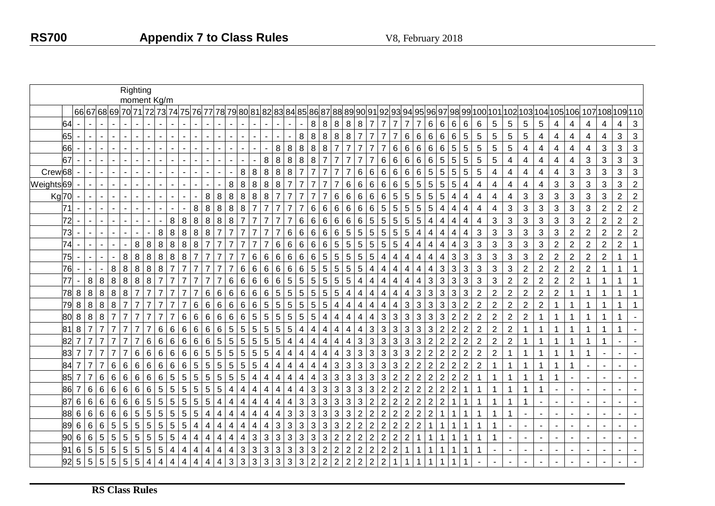|                    |                 |                  |                 |                  |                 | Righting        |                |                         | moment Kg/m                   |                |                         |                 |                 |                |                               |                |                         |                 |                 |                 |                 |                         |                         |                 |                 |                           |                |                      |                 |                         |                 |                 |                         |                         |                |                  |                |                |                          |                         |                |                |                                                  |                |                |                |
|--------------------|-----------------|------------------|-----------------|------------------|-----------------|-----------------|----------------|-------------------------|-------------------------------|----------------|-------------------------|-----------------|-----------------|----------------|-------------------------------|----------------|-------------------------|-----------------|-----------------|-----------------|-----------------|-------------------------|-------------------------|-----------------|-----------------|---------------------------|----------------|----------------------|-----------------|-------------------------|-----------------|-----------------|-------------------------|-------------------------|----------------|------------------|----------------|----------------|--------------------------|-------------------------|----------------|----------------|--------------------------------------------------|----------------|----------------|----------------|
|                    |                 |                  |                 |                  |                 |                 |                |                         | 66 67 68 69 70 71 72 73 74 75 |                |                         |                 | 76 77           |                | 78 79 80 81 82 83 84 85 86 87 |                |                         |                 |                 |                 |                 |                         |                         |                 |                 |                           |                | 88 89 90 91 92 93 94 |                 |                         | 95              | 96 97           |                         | 98                      |                |                  |                |                |                          |                         |                |                | '99 100 101 102 103 104 105 106  107 108 109 110 |                |                |                |
|                    | 64              |                  |                 |                  |                 |                 |                |                         |                               |                |                         |                 |                 |                |                               |                |                         |                 |                 |                 |                 | 8                       | 8                       | $\, 8$          | 8               | $\,8\,$                   | $\overline{7}$ | 7                    | $\overline{7}$  | $\overline{7}$          | $\overline{7}$  | 6               | 6                       | 6                       | 6              | 6                | $\sqrt{5}$     | 5              | 5                        | 5                       | 4              | 4              | 4                                                | 4              | 4              | $\mathbf{3}$   |
|                    | 65              |                  |                 | $\sim$           |                 |                 |                |                         |                               |                |                         |                 |                 |                |                               |                |                         |                 |                 |                 | 8               | 8                       | $\,8\,$                 | 8               | 8               |                           | $\overline{7}$ |                      | $\overline{7}$  | 6                       | 6               | 6               | 6                       | $6\phantom{1}6$         | $\overline{5}$ | 5                | 5              | 5              | 5                        | $\overline{\mathbf{4}}$ | 4              | $\overline{4}$ | $\overline{4}$                                   | $\overline{4}$ | 3              | $\sqrt{3}$     |
|                    | 66              |                  |                 |                  |                 |                 |                |                         |                               |                |                         |                 |                 |                |                               |                |                         |                 | 8               | $\bf 8$         | $\,8\,$         | $\,8\,$                 | $\,8\,$                 | $\overline{7}$  | $\overline{7}$  | 7                         | $\overline{7}$ | 7                    | $\,6\,$         | 6                       | 6               | $6\phantom{1}$  | $6\phantom{a}$          | 5                       | $\overline{5}$ | $\overline{5}$   | 5              | 5              | $\overline{\mathbf{4}}$  | $\overline{\mathbf{4}}$ | 4              | 4              | 4                                                | 3              | 3              | $\mathbf{3}$   |
|                    | 67              |                  |                 |                  |                 |                 |                |                         |                               |                |                         |                 |                 |                |                               |                |                         | 8               | 8               | $\bf 8$         | 8               | 8                       | $\overline{7}$          | $\overline{7}$  |                 |                           |                | 6                    | $\,6$           | 6                       | 6               | 6               | 5                       | 5                       | 5              | $\sqrt{5}$       | 5              | 4              | 4                        | 4                       | 4              | 4              | 3                                                | $\mathbf{3}$   | 3              | $\mathbf{3}$   |
| Crew <sub>68</sub> |                 |                  |                 | $\sim$           |                 |                 |                |                         |                               |                |                         |                 |                 |                |                               | 8              | 8                       | 8               | 8               | 8               |                 | $\overline{7}$          | $\overline{7}$          | $\overline{7}$  |                 | 6                         | 6              | $\,6$                | $\,6\,$         | $\,6\,$                 | $6\phantom{1}$  | $5\phantom{.0}$ | 5                       | 5                       | $\overline{5}$ | $\overline{5}$   | $\overline{4}$ | $\overline{4}$ | $\overline{\mathbf{4}}$  | $\overline{\mathbf{4}}$ | 4              | $\mathfrak{S}$ | 3                                                | $\mathbf{3}$   | 3              | $\mathbf{3}$   |
| Weights69          |                 |                  |                 |                  |                 |                 |                |                         |                               |                |                         |                 |                 |                | 8                             | $\, 8$         | $\bf 8$                 | 8               | 8               | $\overline{7}$  | $\overline{7}$  | $\overline{7}$          | $\overline{7}$          | $\overline{7}$  | 6               | 6                         | $\,6$          | $\,6$                | $\,6\,$         | $\overline{5}$          | $5\phantom{.0}$ | $5\phantom{.0}$ | 5                       | 5                       | 4              | $\overline{4}$   | 4              | $\overline{4}$ | $\overline{\mathcal{A}}$ | 4                       | 3              | $\mathbf{3}$   | $\mathbf{3}$                                     | $\mathfrak{S}$ | 3              | $\overline{2}$ |
|                    | <b>Kg70</b>     |                  |                 |                  |                 |                 |                |                         |                               |                |                         |                 | 8               | 8              | 8                             | $\,8\,$        | 8                       | 8               | $\overline{7}$  | $\overline{7}$  |                 | $\overline{7}$          | $\overline{7}$          | 6               | 6               | $\,6$                     | $\,6$          | 6                    | 5               | 5                       | 5               | 5               | 5                       | 4                       | 4              | 4                | 4              | 4              | 3                        | 3                       | 3              | $\mathbf{3}$   | 3                                                | 3              | $\overline{2}$ | $\overline{2}$ |
|                    | $\overline{7}1$ |                  |                 | $\mathbf{r}$     |                 |                 |                |                         |                               |                |                         | 8               | $\bf 8$         | 8              | 8                             | $\,8\,$        | $\overline{7}$          | $\overline{7}$  | $\overline{7}$  | $\overline{7}$  |                 | $\,6\,$                 | $\,6\,$                 | $\,6\,$         | $\,6$           | $\,6\,$                   | $\,6\,$        | 5                    | 5               | 5                       | $\overline{5}$  | $5\phantom{.0}$ | $\overline{\mathbf{4}}$ | $\overline{\mathbf{4}}$ | $\overline{4}$ | $\overline{4}$   | 4              | $\mathfrak{S}$ | $\mathbf{3}$             | 3                       | 3              | $\mathfrak{S}$ | $\mathfrak{S}$                                   | $\overline{2}$ | $\overline{2}$ | $\sqrt{2}$     |
|                    | 72              |                  |                 |                  |                 |                 |                |                         |                               | 8              | 8                       | 8               | 8               | 8              | 8                             | $\overline{7}$ | $\overline{7}$          | $\overline{7}$  | $\overline{7}$  | $\overline{7}$  | $6\phantom{1}6$ | $6\phantom{1}6$         | 6                       | $6\phantom{.}6$ | 6               | 6                         | 5              | 5                    | $5\phantom{.0}$ | 5                       | $5\phantom{.0}$ | 4               | 4                       | 4                       | 4              | 4                | $\mathbf{3}$   | $\sqrt{3}$     | $\mathbf{3}$             | 3                       | 3              | $\mathbf{3}$   | $\overline{2}$                                   | $\overline{2}$ | $\overline{2}$ | $\overline{2}$ |
|                    | 73              |                  |                 |                  |                 |                 |                |                         | 8                             | 8              | 8                       | 8               | $\,8\,$         | $\overline{7}$ | $\overline{7}$                |                | $\overline{7}$          | $\overline{7}$  |                 | $6\phantom{1}6$ | 6               | $6\phantom{1}6$         | $6\phantom{1}6$         | 6               | 5               | $5\,$                     | $\overline{5}$ | 5                    | 5               | 5                       | 4               | 4               | 4                       | 4                       | 4              | 3                | $\mathfrak{S}$ | 3              | 3                        | 3                       | 3              | $\overline{2}$ | $\overline{2}$                                   | $\overline{2}$ | $\overline{2}$ | $\sqrt{2}$     |
|                    | $\overline{74}$ |                  |                 |                  |                 |                 | 8              | 8                       | $\,8\,$                       | $\,8\,$        | $\boldsymbol{8}$        | 8               | $\overline{7}$  | $\overline{7}$ | $\overline{7}$                |                | $\overline{7}$          | $\overline{7}$  | $\,6$           | $\,6$           | $\,6\,$         | $\,6\,$                 | $\,6\,$                 | $\overline{5}$  | $\overline{5}$  | $\overline{5}$            | 5              | 5                    | $\overline{5}$  | $\overline{\mathbf{4}}$ | 4               | $\overline{4}$  | $\overline{\mathbf{4}}$ | $\overline{\mathbf{4}}$ | $\mathbf{3}$   | $\mathbf{3}$     | $\mathfrak{S}$ | $\mathfrak{S}$ | 3                        | 3                       | $\overline{c}$ | $\overline{2}$ | $\overline{2}$                                   | $\sqrt{2}$     | $\overline{2}$ | $\mathbf{1}$   |
|                    | 75              |                  |                 |                  |                 | 8               | 8              | 8                       | $\,8\,$                       | $\,8\,$        | 8                       | $\overline{7}$  | $\overline{7}$  | $\overline{7}$ | $\overline{7}$                | $\overline{7}$ | 6                       | 6               | 6               | $\,6\,$         | $\,6$           | $\,6\,$                 | $\overline{5}$          | $5\phantom{.0}$ | $5\phantom{.0}$ | $\overline{5}$            | 5              | 4                    | $\overline{4}$  | $\overline{4}$          | $\overline{4}$  | 4               | 4                       | 3                       | 3              | $\mathbf{3}$     | 3              | $\mathbf{3}$   | 3                        | $\overline{2}$          | $\overline{2}$ | $\overline{2}$ | $\overline{2}$                                   | $\overline{2}$ |                | $\mathbf{1}$   |
|                    | 76              |                  |                 |                  | 8               | 8               | 8              | 8                       | 8                             |                | $\overline{7}$          |                 |                 |                | $\overline{7}$                | $\,6$          | 6                       | $\,6$           | $\,6$           | $\,6$           | $\,6$           | $\sqrt{5}$              | $\overline{5}$          | $5\phantom{.0}$ | 5               | 5                         | 4              | 4                    | 4               | 4                       | 4               | 4               | 3                       | 3                       | 3              | 3                | 3              | 3              | $\overline{2}$           | $\overline{2}$          | $\overline{2}$ | $\overline{2}$ | $\overline{2}$                                   |                |                |                |
|                    | 77              |                  | $\bf 8$         | $\boldsymbol{8}$ | $\,8\,$         | 8               | 8              | 8                       |                               |                | 7                       |                 | 7               | 7              | 6                             | $\,6\,$        | $\,6$                   | $\,6\,$         | $\,6$           | $\overline{5}$  | 5               | $\overline{5}$          | $\sqrt{5}$              | 5               | 5               | 4                         | 4              | 4                    | 4               | 4                       | 4               | 3               | 3                       | 3                       | 3              | 3                | $\mathbf{3}$   | $\overline{2}$ | $\overline{2}$           | $\overline{2}$          | $\overline{2}$ | $\overline{2}$ |                                                  | $\mathbf 1$    |                | $\mathbf{1}$   |
|                    | 78              | $\,8\,$          | 8               | $\boldsymbol{8}$ | 8               | 8               | $\overline{7}$ | $\overline{7}$          | $\overline{7}$                | $\overline{7}$ | $\overline{7}$          | $\overline{7}$  | $\,6\,$         | $6\phantom{1}$ | $6\phantom{1}6$               | $\,6\,$        | $\,6\,$                 | 6               | 5               | 5               | 5               | $\overline{5}$          | $\overline{5}$          | $5\phantom{.0}$ | 4               | 4                         | 4              | 4                    | 4               | 4                       | 3               | 3               | 3                       | 3                       | 3              | $\sqrt{2}$       | $\overline{2}$ | $\overline{c}$ | $\overline{2}$           | $\overline{2}$          | $\overline{2}$ | $\mathbf{1}$   | $\mathbf{1}$                                     | $\mathbf 1$    |                |                |
|                    | 79              | $\bf 8$          | $\bf 8$         | 8                | 8               | $\overline{7}$  | $\overline{7}$ | $\overline{7}$          |                               | $\overline{7}$ | 7                       | 6               | $\,6\,$         | 6              | $\,6$                         | $\,6\,$        | $\,6\,$                 | $5\phantom{.0}$ | 5               | 5               | 5               | $\overline{5}$          | $\overline{5}$          | 4               | 4               | 4                         | 4              | 4                    | 4               | 3                       | 3               | $\mathbf{3}$    | 3                       | 3                       | $\overline{2}$ | $\overline{2}$   | $\overline{c}$ | $\overline{2}$ | $\overline{2}$           | $\overline{c}$          |                | 1              |                                                  | $\overline{1}$ |                |                |
|                    | 80              | $\,8\,$          | $\,8\,$         | 8                | $\overline{7}$  |                 | $\overline{7}$ | $\overline{7}$          | $\overline{7}$                | 7              | 6                       | 6               | $6\phantom{.}$  | 6              | $\,6$                         | $\,6\,$        | $\overline{5}$          | $\sqrt{5}$      | $5\phantom{.0}$ | $\sqrt{5}$      | $\mathbf 5$     | $\sqrt{5}$              | $\overline{\mathbf{4}}$ | 4               | 4               | 4                         | 4              | 3                    | $\sqrt{3}$      | $\mathbf{3}$            | 3               | 3               | 3                       | $\overline{2}$          | $\overline{2}$ | $\overline{2}$   | $\overline{2}$ | $\overline{2}$ | $\overline{2}$           |                         | $\mathbf 1$    | $\mathbf{1}$   | $\mathbf 1$                                      | $\mathbf 1$    | 1              |                |
|                    | $\overline{81}$ | 8                | $\overline{7}$  | $\overline{7}$   | $\overline{7}$  | $\overline{7}$  | $\overline{7}$ | $\overline{7}$          | $6\phantom{a}$                | $6\,$          | $6\phantom{1}$          | $\,6$           | $\,6\,$         | 6              | 5                             | 5              | $\overline{5}$          | $\overline{5}$  | $5\phantom{.0}$ | $\overline{5}$  | 4               | $\overline{4}$          | $\overline{4}$          | $\overline{4}$  | 4               | $\overline{4}$            | 3              | 3                    | $\sqrt{3}$      | $\sqrt{3}$              | 3               | 3               | $\overline{2}$          | $\overline{2}$          | $\overline{2}$ | $\overline{2}$   | $\overline{2}$ | $\overline{2}$ | 1                        | 1                       | 1              | $\mathbf{1}$   |                                                  | $\mathbf{1}$   |                |                |
|                    | 82              |                  | $\overline{7}$  | $\overline{7}$   |                 |                 |                | 6                       | $\,6\,$                       | $\,6\,$        | $6\phantom{a}$          | $6\phantom{1}$  | $\,6\,$         | 5              | $\overline{5}$                | $\overline{5}$ | 5                       | $\overline{5}$  | 5               | $\overline{4}$  | 4               | $\overline{\mathbf{4}}$ | $\overline{4}$          | 4               | 4               | 3                         | 3              | 3                    | 3               | 3                       | $\mathbf{3}$    | $\overline{2}$  | $\overline{2}$          | $\overline{2}$          | $\overline{2}$ | $\overline{2}$   | $\overline{2}$ | $\overline{2}$ |                          |                         |                | $\mathbf 1$    |                                                  |                | $\blacksquare$ |                |
|                    | 83              |                  | $\overline{7}$  | $\overline{7}$   |                 |                 | 6              | $\,6$                   | $\,6\,$                       | 6              | $\,6\,$                 | 6               | $5\phantom{.0}$ | 5              | $\overline{5}$                | $\sqrt{5}$     | 5                       | $\sqrt{5}$      | 4               | 4               | 4               | 4                       | 4                       | 4               | 3               | $\ensuremath{\mathsf{3}}$ | 3              | 3                    | $\sqrt{3}$      | $\mathbf{3}$            | $\overline{2}$  | $\overline{2}$  | $\overline{2}$          | $\overline{2}$          | $\overline{2}$ | $\boldsymbol{2}$ | $\overline{c}$ |                | 1                        |                         |                | $\mathbf 1$    | $\mathbf 1$                                      |                | $\blacksquare$ |                |
|                    | 84              |                  | $\overline{7}$  | $\overline{7}$   | $6\phantom{1}$  | $\,6\,$         | 6              | $\,6$                   | $\,6\,$                       | $\,6\,$        | $\,6\,$                 | $5\phantom{.0}$ | $\overline{5}$  | 5              | 5                             | 5              | 5                       | $\overline{4}$  | $\overline{4}$  | 4               | 4               | $\overline{4}$          | $\overline{\mathbf{4}}$ | 3               | 3               | 3                         | 3              | 3                    | 3               | $\overline{2}$          | $\overline{2}$  | $\overline{2}$  | $\overline{2}$          | $\overline{2}$          | $\overline{2}$ | $\overline{2}$   | $\overline{1}$ |                | 1                        |                         | $\mathbf{1}$   | $\mathbf{1}$   |                                                  |                | $\overline{a}$ |                |
|                    | 85              | $\overline{7}$   | $\overline{7}$  | 6                | 6               | 6               | 6              | $\,6$                   | $\,6\,$                       | $\sqrt{5}$     | $5\phantom{.0}$         | $5\overline{)}$ | $\sqrt{5}$      | 5              | 5                             | $\sqrt{5}$     | $\overline{4}$          | 4               | 4               | 4               | 4               | $\overline{\mathbf{4}}$ | $\mathfrak{S}$          | $\mathfrak{S}$  | 3               | 3                         | 3              | 3                    | $\overline{2}$  | $\overline{2}$          | $\overline{2}$  | $\overline{2}$  | $\overline{2}$          | $\overline{2}$          | $\overline{2}$ |                  |                |                | 1                        |                         | 1              | $\sim$         |                                                  |                | $\blacksquare$ |                |
|                    | 86              |                  | $\,6$           | $6\phantom{1}6$  | 6               | $6\phantom{.}6$ | 6              | $\,6$                   | $\overline{5}$                | 5              | $5\phantom{.0}$         | $\overline{5}$  | $5\overline{)}$ | 5              | $\overline{4}$                | $\overline{4}$ | $\overline{\mathbf{4}}$ | $\overline{4}$  | $\overline{4}$  | $\overline{4}$  | 4               | $\sqrt{3}$              | $\sqrt{3}$              | 3               | $\mathfrak{S}$  | $\ensuremath{\mathsf{3}}$ | 3              | $\overline{2}$       | $\overline{2}$  | $\mathbf 2$             | $\overline{2}$  | $\overline{2}$  | $\overline{2}$          | $\overline{2}$          |                |                  |                |                | 1                        |                         |                |                |                                                  |                | $\blacksquare$ |                |
|                    | 87              | $\,6$            | $6\phantom{1}6$ | $\,6\,$          | $\,6\,$         | $\,6\,$         | 6              | 5                       | 5                             | $5\,$          | $\overline{5}$          | 5               | $\sqrt{5}$      | 4              | $\overline{\mathbf{4}}$       | $\overline{4}$ | $\overline{4}$          | $\overline{4}$  | 4               | 4               | 3               | $\mathbf{3}$            | $\sqrt{3}$              | $\mathfrak{S}$  | $\mathbf{3}$    | 3                         | $\overline{2}$ | $\overline{2}$       | $\overline{2}$  | $\overline{2}$          | $\overline{2}$  | $\overline{2}$  | $\overline{2}$          | 1                       |                |                  | 1              | 1              | $\mathbf{1}$             |                         |                |                |                                                  |                | ÷,             |                |
|                    | 88              | $6\phantom{1}6$  | 6               | $6\phantom{1}6$  | 6               | 6               | 5              | 5                       | $\overline{5}$                | $5\,$          | $5\phantom{.0}$         | 5               | 4               | 4              | 4                             | 4              | $\overline{4}$          | 4               | 4               | 3               | 3               | $\sqrt{3}$              | $\sqrt{3}$              | 3               | 3               | $\overline{2}$            | $\overline{2}$ | $\overline{c}$       | $\overline{2}$  | $\overline{2}$          | $\overline{2}$  | 2               |                         |                         |                |                  |                |                |                          |                         |                | $\overline{a}$ |                                                  |                | $\blacksquare$ |                |
|                    | 89              | $\,6\,$          | $6\phantom{1}6$ | $6\phantom{1}6$  | $\overline{5}$  | $5\phantom{.0}$ | 5              | 5                       | $\overline{5}$                | 5              | 5                       | 4               | 4               | 4              | $\overline{4}$                | 4              | $\overline{4}$          | 4               | 3               | $\sqrt{3}$      | 3               | $\sqrt{3}$              | 3                       | $\mathbf{3}$    | $\overline{2}$  | $\overline{2}$            | $\overline{2}$ | $\overline{2}$       | $\overline{2}$  | $\overline{2}$          | $\overline{2}$  |                 |                         |                         |                |                  |                |                |                          |                         |                | $\blacksquare$ |                                                  |                | $\sim$         |                |
|                    | 90              | $\,6$            | $\,6\,$         | $\overline{5}$   | $\sqrt{5}$      | $5\phantom{.0}$ | 5              | 5                       | $\overline{5}$                | $5\,$          | $\overline{\mathbf{4}}$ | 4               | $\overline{4}$  | 4              | $\overline{4}$                | 4              | 3                       | $\sqrt{3}$      | $\mathbf{3}$    | $\sqrt{3}$      | 3               | $\sqrt{3}$              | $\mathbf{3}$            | $\sqrt{2}$      | $\sqrt{2}$      | $\overline{c}$            | $\overline{c}$ | 2                    | $\overline{2}$  | $\overline{2}$          |                 |                 |                         |                         |                |                  | 1              | $\blacksquare$ |                          |                         |                | $\blacksquare$ |                                                  |                | $\blacksquare$ |                |
|                    | 91              | $\,6$            | $\overline{5}$  | $5\phantom{.0}$  | $\sqrt{5}$      | $5\phantom{.0}$ | 5              | 5                       | $\sqrt{5}$                    | $\overline{4}$ | $\overline{\mathbf{4}}$ | 4               | 4               | 4              | 4                             | $\mathsf 3$    | $\sqrt{3}$              | $\mathbf{3}$    | $\mathbf{3}$    | $\sqrt{3}$      | 3               | $\sqrt{3}$              | $\overline{2}$          | $\overline{2}$  | $\overline{2}$  | $\overline{2}$            | $\overline{2}$ | $\overline{2}$       | $\overline{2}$  | $\mathbf{1}$            |                 |                 |                         |                         |                |                  |                | $\blacksquare$ |                          |                         |                |                |                                                  |                | $\blacksquare$ |                |
|                    |                 | $92\overline{5}$ | 5               | $5\overline{5}$  | $5\phantom{.0}$ | $5\overline{)}$ | 5              | $\overline{\mathbf{4}}$ | $\overline{4}$                | 4              | $\overline{4}$          | 4               | $\overline{4}$  | 4              | 3                             | $\mathbf{3}$   | $\mathbf{3}$            | $\mathbf{3}$    | $\mathbf{3}$    | 3 <sup>1</sup>  | 3               | $\overline{2}$          | $\overline{2}$          | $\overline{2}$  | $\overline{2}$  | $\overline{2}$            | $\overline{c}$ | $\overline{2}$       | $\mathbf{1}$    |                         |                 |                 |                         |                         |                |                  |                |                |                          |                         |                |                |                                                  |                |                |                |